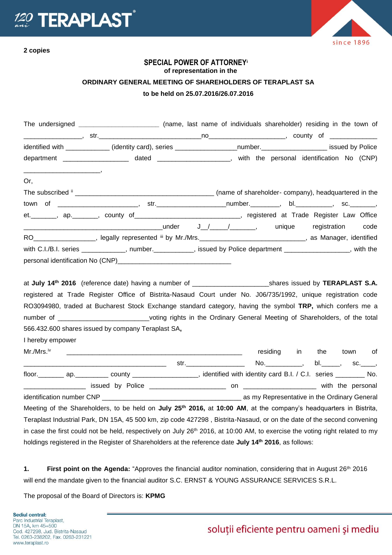



## **SPECIAL POWER OF ATTORNEY<sup>i</sup> of representation in the ORDINARY GENERAL MEETING OF SHAREHOLDERS OF TERAPLAST SA to be held on 25.07.2016/26.07.2016**

| The undersigned _________________________ (name, last name of individuals shareholder) residing in the town of                                                                                                                                                                                                                                                                                          |  |                         |  |      |
|---------------------------------------------------------------------------------------------------------------------------------------------------------------------------------------------------------------------------------------------------------------------------------------------------------------------------------------------------------------------------------------------------------|--|-------------------------|--|------|
|                                                                                                                                                                                                                                                                                                                                                                                                         |  |                         |  |      |
| identified with _____________ (identity card), series ____________________number.____________________ issued by Police                                                                                                                                                                                                                                                                                  |  |                         |  |      |
| department ____________________ dated _____________________, with the personal identification No (CNP)                                                                                                                                                                                                                                                                                                  |  |                         |  |      |
| <u> 2000 - Januar Amerikaanse konstantinoplering (</u><br>Or,                                                                                                                                                                                                                                                                                                                                           |  |                         |  |      |
|                                                                                                                                                                                                                                                                                                                                                                                                         |  |                         |  |      |
|                                                                                                                                                                                                                                                                                                                                                                                                         |  |                         |  |      |
| et. _______, ap. ______, county of ___________________________, registered at Trade Register Law Office                                                                                                                                                                                                                                                                                                 |  |                         |  |      |
|                                                                                                                                                                                                                                                                                                                                                                                                         |  |                         |  | code |
| RO___________________, legally represented iii by Mr./Mrs.________________________________, as Manager, identified                                                                                                                                                                                                                                                                                      |  |                         |  |      |
| with C.I./B.I. series ___________, number._________, issued by Police department _______________, with the                                                                                                                                                                                                                                                                                              |  |                         |  |      |
|                                                                                                                                                                                                                                                                                                                                                                                                         |  |                         |  |      |
| registered at Trade Register Office of Bistrita-Nasaud Court under No. J06/735/1992, unique registration code<br>RO3094980, traded at Bucharest Stock Exchange standard category, having the symbol TRP, which confers me a<br>number of _____________________________voting rights in the Ordinary General Meeting of Shareholders, of the total<br>566.432.600 shares issued by company Teraplast SA, |  |                         |  |      |
| I hereby empower                                                                                                                                                                                                                                                                                                                                                                                        |  |                         |  |      |
| Mr./Mrs. <sup>iv</sup>                                                                                                                                                                                                                                                                                                                                                                                  |  | residing in the town of |  |      |
|                                                                                                                                                                                                                                                                                                                                                                                                         |  |                         |  |      |
|                                                                                                                                                                                                                                                                                                                                                                                                         |  |                         |  |      |
|                                                                                                                                                                                                                                                                                                                                                                                                         |  |                         |  |      |
|                                                                                                                                                                                                                                                                                                                                                                                                         |  |                         |  |      |
| Meeting of the Shareholders, to be held on July 25 <sup>th</sup> 2016, at 10:00 AM, at the company's headquarters in Bistrita,                                                                                                                                                                                                                                                                          |  |                         |  |      |
| Teraplast Industrial Park, DN 15A, 45 500 km, zip code 427298, Bistrita-Nasaud, or on the date of the second convening                                                                                                                                                                                                                                                                                  |  |                         |  |      |
| in case the first could not be held, respectively on July 26 <sup>th</sup> 2016, at 10:00 AM, to exercise the voting right related to my                                                                                                                                                                                                                                                                |  |                         |  |      |
| holdings registered in the Register of Shareholders at the reference date July 14 <sup>th</sup> 2016, as follows:                                                                                                                                                                                                                                                                                       |  |                         |  |      |

1. **First point on the Agenda:** "Approves the financial auditor nomination, considering that in August 26<sup>th</sup> 2016 will end the mandate given to the financial auditor S.C. ERNST & YOUNG ASSURANCE SERVICES S.R.L.

The proposal of the Board of Directors is: **KPMG**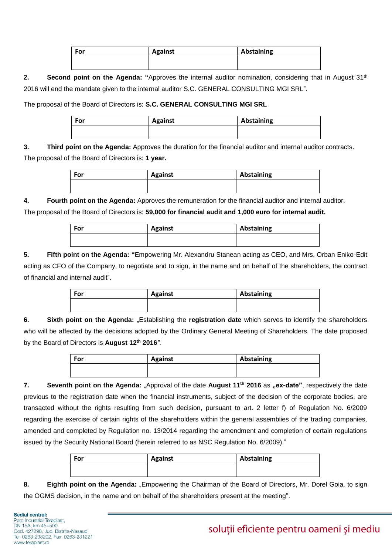| For | <b>Against</b> | Abstaining |
|-----|----------------|------------|
|     |                |            |
|     |                |            |

**2. Second point on the Agenda: "**Approves the internal auditor nomination, considering that in August 31th 2016 will end the mandate given to the internal auditor S.C. GENERAL CONSULTING MGI SRL".

The proposal of the Board of Directors is: **S.C. GENERAL CONSULTING MGI SRL**

| For | <b>Against</b> | Abstaining |
|-----|----------------|------------|
|     |                |            |

**3. Third point on the Agenda:** Approves the duration for the financial auditor and internal auditor contracts. The proposal of the Board of Directors is: **1 year.**

| For | <b>Against</b> | Abstaining |
|-----|----------------|------------|
|     |                |            |

**4. Fourth point on the Agenda:** Approves the remuneration for the financial auditor and internal auditor.

The proposal of the Board of Directors is: **59,000 for financial audit and 1,000 euro for internal audit.**

| For | <b>Against</b> | Abstaining |
|-----|----------------|------------|
|     |                |            |

**5. Fifth point on the Agenda: "**Empowering Mr. Alexandru Stanean acting as CEO, and Mrs. Orban Eniko-Edit acting as CFO of the Company, to negotiate and to sign, in the name and on behalf of the shareholders, the contract of financial and internal audit".

| For | <b>Against</b> | Abstaining |
|-----|----------------|------------|
|     |                |            |

**6. Sixth point on the Agenda:** "Establishing the **registration date** which serves to identify the shareholders who will be affected by the decisions adopted by the Ordinary General Meeting of Shareholders. The date proposed by the Board of Directors is **August 12th 2016***".*

| For | <b>Against</b> | Abstaining |
|-----|----------------|------------|
|     |                |            |

**7.** Seventh point on the Agenda: "Approval of the date August 11<sup>th</sup> 2016 as "ex-date", respectively the date previous to the registration date when the financial instruments, subject of the decision of the corporate bodies, are transacted without the rights resulting from such decision, pursuant to art. 2 letter f) of Regulation No. 6/2009 regarding the exercise of certain rights of the shareholders within the general assemblies of the trading companies, amended and completed by Regulation no. 13/2014 regarding the amendment and completion of certain regulations issued by the Security National Board (herein referred to as NSC Regulation No. 6/2009)."

| For | <b>Against</b> | Abstaining |
|-----|----------------|------------|
|     |                |            |
|     |                |            |

**8. Eighth point on the Agenda:** "Empowering the Chairman of the Board of Directors, Mr. Dorel Goia, to sign the OGMS decision, in the name and on behalf of the shareholders present at the meeting".